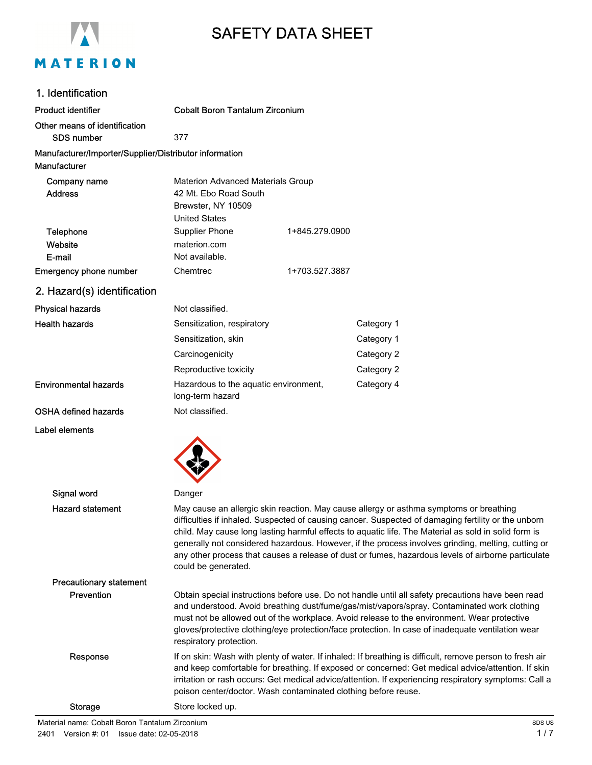

# SAFETY DATA SHEET

#### 1. Identification

Label elements

| <b>Product identifier</b>                                              | <b>Cobalt Boron Tantalum Zirconium</b>                                                                          |                |            |
|------------------------------------------------------------------------|-----------------------------------------------------------------------------------------------------------------|----------------|------------|
| Other means of identification<br><b>SDS number</b>                     | 377                                                                                                             |                |            |
| Manufacturer/Importer/Supplier/Distributor information<br>Manufacturer |                                                                                                                 |                |            |
| Company name<br><b>Address</b>                                         | <b>Materion Advanced Materials Group</b><br>42 Mt. Ebo Road South<br>Brewster, NY 10509<br><b>United States</b> |                |            |
| Telephone<br>Website<br>E-mail                                         | <b>Supplier Phone</b><br>materion.com<br>Not available.                                                         | 1+845.279.0900 |            |
| Emergency phone number                                                 | Chemtrec                                                                                                        | 1+703.527.3887 |            |
| 2. Hazard(s) identification                                            |                                                                                                                 |                |            |
| <b>Physical hazards</b>                                                | Not classified.                                                                                                 |                |            |
| <b>Health hazards</b>                                                  | Sensitization, respiratory                                                                                      |                | Category 1 |
|                                                                        | Sensitization, skin                                                                                             |                | Category 1 |
|                                                                        | Carcinogenicity                                                                                                 |                | Category 2 |
|                                                                        | Reproductive toxicity                                                                                           |                | Category 2 |
| <b>Environmental hazards</b>                                           | Hazardous to the aquatic environment,<br>long-term hazard                                                       |                | Category 4 |

OSHA defined hazards Not classified.



| Signal word                    | Danger                                                                                                                                                                                                                                                                                                                                                                                                                                                                                                                                   |
|--------------------------------|------------------------------------------------------------------------------------------------------------------------------------------------------------------------------------------------------------------------------------------------------------------------------------------------------------------------------------------------------------------------------------------------------------------------------------------------------------------------------------------------------------------------------------------|
| <b>Hazard statement</b>        | May cause an allergic skin reaction. May cause allergy or asthma symptoms or breathing<br>difficulties if inhaled. Suspected of causing cancer. Suspected of damaging fertility or the unborn<br>child. May cause long lasting harmful effects to aquatic life. The Material as sold in solid form is<br>generally not considered hazardous. However, if the process involves grinding, melting, cutting or<br>any other process that causes a release of dust or fumes, hazardous levels of airborne particulate<br>could be generated. |
| <b>Precautionary statement</b> |                                                                                                                                                                                                                                                                                                                                                                                                                                                                                                                                          |
| Prevention                     | Obtain special instructions before use. Do not handle until all safety precautions have been read<br>and understood. Avoid breathing dust/fume/gas/mist/vapors/spray. Contaminated work clothing<br>must not be allowed out of the workplace. Avoid release to the environment. Wear protective<br>gloves/protective clothing/eye protection/face protection. In case of inadequate ventilation wear<br>respiratory protection.                                                                                                          |
| Response                       | If on skin: Wash with plenty of water. If inhaled: If breathing is difficult, remove person to fresh air<br>and keep comfortable for breathing. If exposed or concerned: Get medical advice/attention. If skin<br>irritation or rash occurs: Get medical advice/attention. If experiencing respiratory symptoms: Call a<br>poison center/doctor. Wash contaminated clothing before reuse.                                                                                                                                                |
| <b>Storage</b>                 | Store locked up.                                                                                                                                                                                                                                                                                                                                                                                                                                                                                                                         |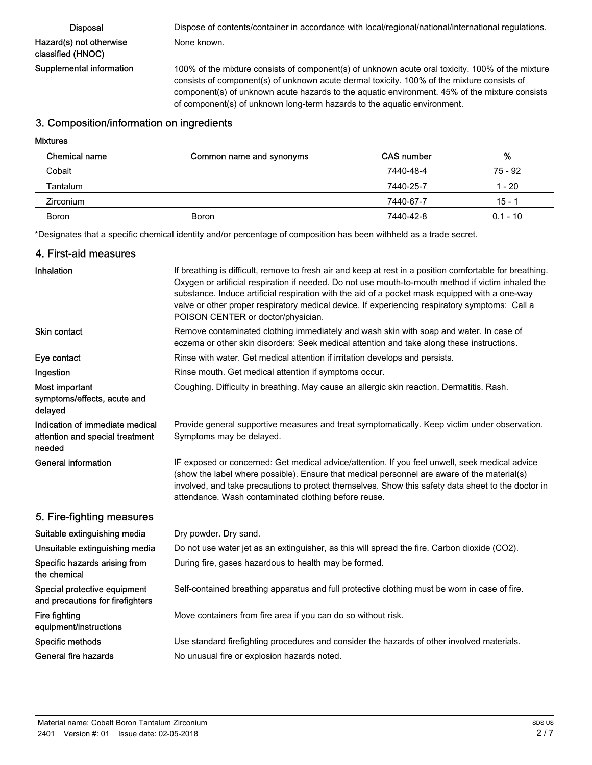| <b>Disposal</b>          |  |
|--------------------------|--|
| Hazard(s) not otherwise  |  |
| classified (HNOC)        |  |
| Supplemental information |  |

Dispose of contents/container in accordance with local/regional/national/international regulations. None known.

Supplemental information 100% of the mixture consists of component(s) of unknown acute oral toxicity. 100% of the mixture consists of component(s) of unknown acute dermal toxicity. 100% of the mixture consists of component(s) of unknown acute hazards to the aquatic environment. 45% of the mixture consists of component(s) of unknown long-term hazards to the aquatic environment.

#### 3. Composition/information on ingredients

#### Mixtures

| Chemical name    | Common name and synonyms | CAS number | %          |
|------------------|--------------------------|------------|------------|
| Cobalt           |                          | 7440-48-4  | 75 - 92    |
| Tantalum         |                          | 7440-25-7  | 1 - 20     |
| <b>Zirconium</b> |                          | 7440-67-7  | $15 - 1$   |
| <b>Boron</b>     | Boron                    | 7440-42-8  | $0.1 - 10$ |

\*Designates that a specific chemical identity and/or percentage of composition has been withheld as a trade secret.

#### 4. First-aid measures

| Inhalation                                                                   | If breathing is difficult, remove to fresh air and keep at rest in a position comfortable for breathing.<br>Oxygen or artificial respiration if needed. Do not use mouth-to-mouth method if victim inhaled the<br>substance. Induce artificial respiration with the aid of a pocket mask equipped with a one-way<br>valve or other proper respiratory medical device. If experiencing respiratory symptoms: Call a<br>POISON CENTER or doctor/physician. |
|------------------------------------------------------------------------------|----------------------------------------------------------------------------------------------------------------------------------------------------------------------------------------------------------------------------------------------------------------------------------------------------------------------------------------------------------------------------------------------------------------------------------------------------------|
| Skin contact                                                                 | Remove contaminated clothing immediately and wash skin with soap and water. In case of<br>eczema or other skin disorders: Seek medical attention and take along these instructions.                                                                                                                                                                                                                                                                      |
| Eye contact                                                                  | Rinse with water. Get medical attention if irritation develops and persists.                                                                                                                                                                                                                                                                                                                                                                             |
| Ingestion                                                                    | Rinse mouth. Get medical attention if symptoms occur.                                                                                                                                                                                                                                                                                                                                                                                                    |
| Most important<br>symptoms/effects, acute and<br>delayed                     | Coughing. Difficulty in breathing. May cause an allergic skin reaction. Dermatitis. Rash.                                                                                                                                                                                                                                                                                                                                                                |
| Indication of immediate medical<br>attention and special treatment<br>needed | Provide general supportive measures and treat symptomatically. Keep victim under observation.<br>Symptoms may be delayed.                                                                                                                                                                                                                                                                                                                                |
| <b>General information</b>                                                   | IF exposed or concerned: Get medical advice/attention. If you feel unwell, seek medical advice<br>(show the label where possible). Ensure that medical personnel are aware of the material(s)<br>involved, and take precautions to protect themselves. Show this safety data sheet to the doctor in<br>attendance. Wash contaminated clothing before reuse.                                                                                              |
| 5. Fire-fighting measures                                                    |                                                                                                                                                                                                                                                                                                                                                                                                                                                          |
| Suitable extinguishing media                                                 | Dry powder. Dry sand.                                                                                                                                                                                                                                                                                                                                                                                                                                    |
| Unsuitable extinguishing media                                               | Do not use water jet as an extinguisher, as this will spread the fire. Carbon dioxide (CO2).                                                                                                                                                                                                                                                                                                                                                             |
| Specific hazards arising from<br>the chemical                                | During fire, gases hazardous to health may be formed.                                                                                                                                                                                                                                                                                                                                                                                                    |
| Special protective equipment<br>and precautions for firefighters             | Self-contained breathing apparatus and full protective clothing must be worn in case of fire.                                                                                                                                                                                                                                                                                                                                                            |
| Fire fighting<br>equipment/instructions                                      | Move containers from fire area if you can do so without risk.                                                                                                                                                                                                                                                                                                                                                                                            |
| Specific methods                                                             | Use standard firefighting procedures and consider the hazards of other involved materials.                                                                                                                                                                                                                                                                                                                                                               |
| General fire hazards                                                         | No unusual fire or explosion hazards noted.                                                                                                                                                                                                                                                                                                                                                                                                              |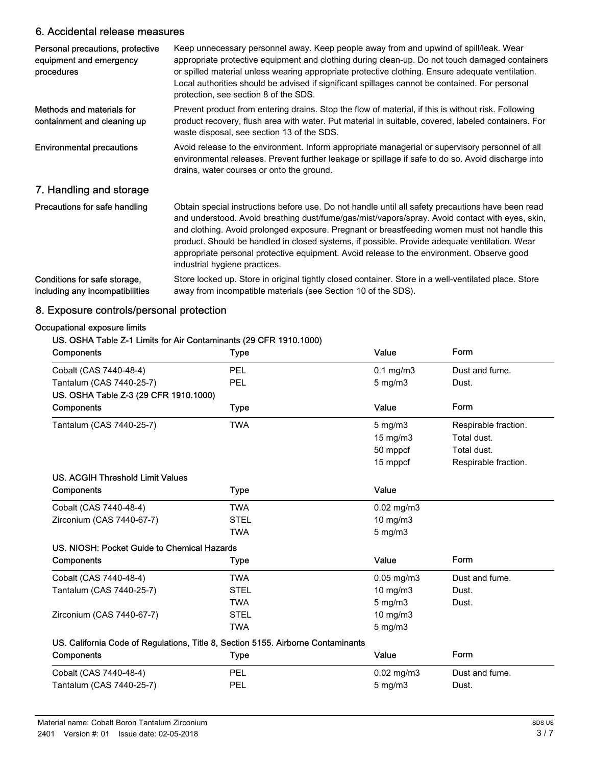### 6. Accidental release measures

| Personal precautions, protective<br>equipment and emergency<br>procedures | Keep unnecessary personnel away. Keep people away from and upwind of spill/leak. Wear<br>appropriate protective equipment and clothing during clean-up. Do not touch damaged containers<br>or spilled material unless wearing appropriate protective clothing. Ensure adequate ventilation.<br>Local authorities should be advised if significant spillages cannot be contained. For personal<br>protection, see section 8 of the SDS.                                                                                              |
|---------------------------------------------------------------------------|-------------------------------------------------------------------------------------------------------------------------------------------------------------------------------------------------------------------------------------------------------------------------------------------------------------------------------------------------------------------------------------------------------------------------------------------------------------------------------------------------------------------------------------|
| Methods and materials for<br>containment and cleaning up                  | Prevent product from entering drains. Stop the flow of material, if this is without risk. Following<br>product recovery, flush area with water. Put material in suitable, covered, labeled containers. For<br>waste disposal, see section 13 of the SDS.                                                                                                                                                                                                                                                                            |
| <b>Environmental precautions</b>                                          | Avoid release to the environment. Inform appropriate managerial or supervisory personnel of all<br>environmental releases. Prevent further leakage or spillage if safe to do so. Avoid discharge into<br>drains, water courses or onto the ground.                                                                                                                                                                                                                                                                                  |
| 7. Handling and storage                                                   |                                                                                                                                                                                                                                                                                                                                                                                                                                                                                                                                     |
| Precautions for safe handling                                             | Obtain special instructions before use. Do not handle until all safety precautions have been read<br>and understood. Avoid breathing dust/fume/gas/mist/vapors/spray. Avoid contact with eyes, skin,<br>and clothing. Avoid prolonged exposure. Pregnant or breastfeeding women must not handle this<br>product. Should be handled in closed systems, if possible. Provide adequate ventilation. Wear<br>appropriate personal protective equipment. Avoid release to the environment. Observe good<br>industrial hygiene practices. |
| Conditions for safe storage,<br>including any incompatibilities           | Store locked up. Store in original tightly closed container. Store in a well-ventilated place. Store<br>away from incompatible materials (see Section 10 of the SDS).                                                                                                                                                                                                                                                                                                                                                               |

## 8. Exposure controls/personal protection

#### Occupational exposure limits

#### US. OSHA Table Z-1 Limits for Air Contaminants (29 CFR 1910.1000)

| <b>Components</b>                                                                | <b>Type</b> | Value                 | Form                 |
|----------------------------------------------------------------------------------|-------------|-----------------------|----------------------|
| Cobalt (CAS 7440-48-4)                                                           | <b>PEL</b>  | $0.1$ mg/m $3$        | Dust and fume.       |
| Tantalum (CAS 7440-25-7)                                                         | PEL         | $5$ mg/m $3$          | Dust.                |
| US. OSHA Table Z-3 (29 CFR 1910.1000)                                            |             |                       |                      |
| <b>Components</b>                                                                | <b>Type</b> | Value                 | Form                 |
| Tantalum (CAS 7440-25-7)                                                         | <b>TWA</b>  | $5 \text{ mg/m}$      | Respirable fraction. |
|                                                                                  |             | 15 mg/m3              | Total dust.          |
|                                                                                  |             | 50 mppcf              | Total dust.          |
|                                                                                  |             | 15 mppcf              | Respirable fraction. |
| US. ACGIH Threshold Limit Values                                                 |             |                       |                      |
| <b>Components</b>                                                                | Type        | Value                 |                      |
| Cobalt (CAS 7440-48-4)                                                           | <b>TWA</b>  | $0.02$ mg/m $3$       |                      |
| Zirconium (CAS 7440-67-7)                                                        | <b>STEL</b> | 10 mg/m3              |                      |
|                                                                                  | TWA         | $5 \text{ mg/m}$      |                      |
| US. NIOSH: Pocket Guide to Chemical Hazards                                      |             |                       |                      |
| <b>Components</b>                                                                | <b>Type</b> | Value                 | <b>Form</b>          |
| Cobalt (CAS 7440-48-4)                                                           | <b>TWA</b>  | $0.05$ mg/m $3$       | Dust and fume.       |
| Tantalum (CAS 7440-25-7)                                                         | <b>STEL</b> | $10$ mg/m $3$         | Dust.                |
|                                                                                  | <b>TWA</b>  | $5$ mg/m $3$          | Dust.                |
| Zirconium (CAS 7440-67-7)                                                        | <b>STEL</b> | 10 mg/m3              |                      |
|                                                                                  | <b>TWA</b>  | $5$ mg/m $3$          |                      |
| US. California Code of Regulations, Title 8, Section 5155. Airborne Contaminants |             |                       |                      |
| Components                                                                       | <b>Type</b> | Value                 | Form                 |
| Cobalt (CAS 7440-48-4)                                                           | PEL         | $0.02 \text{ mg/m}$ 3 | Dust and fume.       |
| Tantalum (CAS 7440-25-7)                                                         | <b>PEL</b>  | $5 \text{ mg/m}$      | Dust.                |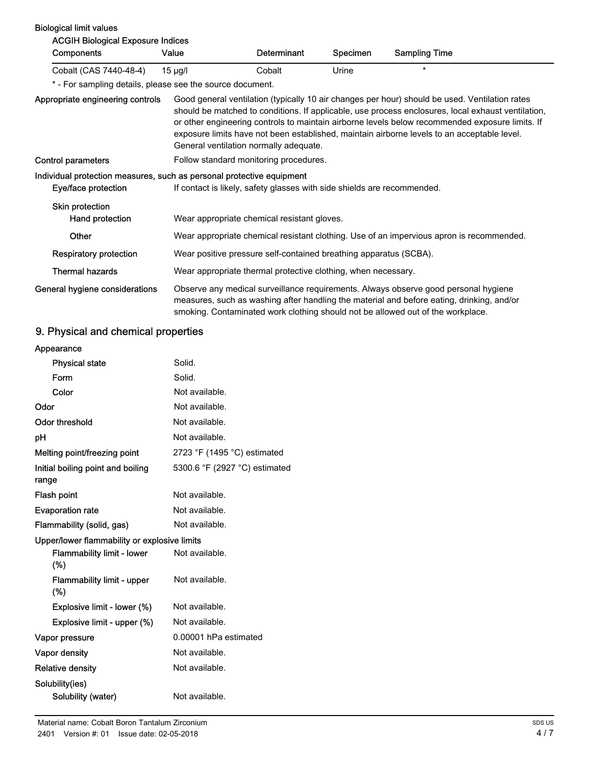| <b>Biological limit values</b>                                                               |                                                                                          |                                        |          |                                                                                                                                                                                                                                                                                                                                                                                                        |
|----------------------------------------------------------------------------------------------|------------------------------------------------------------------------------------------|----------------------------------------|----------|--------------------------------------------------------------------------------------------------------------------------------------------------------------------------------------------------------------------------------------------------------------------------------------------------------------------------------------------------------------------------------------------------------|
| <b>ACGIH Biological Exposure Indices</b>                                                     |                                                                                          |                                        |          |                                                                                                                                                                                                                                                                                                                                                                                                        |
| Components                                                                                   | Value                                                                                    | Determinant                            | Specimen | <b>Sampling Time</b>                                                                                                                                                                                                                                                                                                                                                                                   |
| Cobalt (CAS 7440-48-4)                                                                       | $15 \mu g/l$                                                                             | Cobalt                                 | Urine    | $\star$                                                                                                                                                                                                                                                                                                                                                                                                |
| * - For sampling details, please see the source document.                                    |                                                                                          |                                        |          |                                                                                                                                                                                                                                                                                                                                                                                                        |
| Appropriate engineering controls                                                             | General ventilation normally adequate.                                                   |                                        |          | Good general ventilation (typically 10 air changes per hour) should be used. Ventilation rates<br>should be matched to conditions. If applicable, use process enclosures, local exhaust ventilation,<br>or other engineering controls to maintain airborne levels below recommended exposure limits. If<br>exposure limits have not been established, maintain airborne levels to an acceptable level. |
| Control parameters                                                                           |                                                                                          | Follow standard monitoring procedures. |          |                                                                                                                                                                                                                                                                                                                                                                                                        |
| Individual protection measures, such as personal protective equipment<br>Eye/face protection | If contact is likely, safety glasses with side shields are recommended.                  |                                        |          |                                                                                                                                                                                                                                                                                                                                                                                                        |
| Skin protection<br>Hand protection                                                           | Wear appropriate chemical resistant gloves.                                              |                                        |          |                                                                                                                                                                                                                                                                                                                                                                                                        |
| Other                                                                                        | Wear appropriate chemical resistant clothing. Use of an impervious apron is recommended. |                                        |          |                                                                                                                                                                                                                                                                                                                                                                                                        |
| <b>Respiratory protection</b>                                                                | Wear positive pressure self-contained breathing apparatus (SCBA).                        |                                        |          |                                                                                                                                                                                                                                                                                                                                                                                                        |
| <b>Thermal hazards</b>                                                                       | Wear appropriate thermal protective clothing, when necessary.                            |                                        |          |                                                                                                                                                                                                                                                                                                                                                                                                        |
| General hygiene considerations                                                               |                                                                                          |                                        |          | Observe any medical surveillance requirements. Always observe good personal hygiene<br>measures, such as washing after handling the material and before eating, drinking, and/or<br>smoking. Contaminated work clothing should not be allowed out of the workplace.                                                                                                                                    |

## 9. Physical and chemical properties

| Appearance                                   |                               |
|----------------------------------------------|-------------------------------|
| <b>Physical state</b>                        | Solid.                        |
| Form                                         | Solid.                        |
| Color                                        | Not available.                |
| Odor                                         | Not available.                |
| <b>Odor threshold</b>                        | Not available.                |
| рH                                           | Not available.                |
| Melting point/freezing point                 | 2723 °F (1495 °C) estimated   |
| Initial boiling point and boiling<br>range   | 5300.6 °F (2927 °C) estimated |
| Flash point                                  | Not available.                |
| <b>Evaporation rate</b>                      | Not available.                |
| Flammability (solid, gas)<br>Not available.  |                               |
| Upper/lower flammability or explosive limits |                               |
| <b>Flammability limit - lower</b><br>(%)     | Not available.                |
| <b>Flammability limit - upper</b><br>$(\%)$  | Not available.                |
| Explosive limit - lower (%)                  | Not available.                |
| Explosive limit - upper (%)                  | Not available.                |
| Vapor pressure                               | 0.00001 hPa estimated         |
| Vapor density                                | Not available.                |
| <b>Relative density</b>                      | Not available.                |
| Solubility(ies)                              |                               |
| Solubility (water)                           | Not available.                |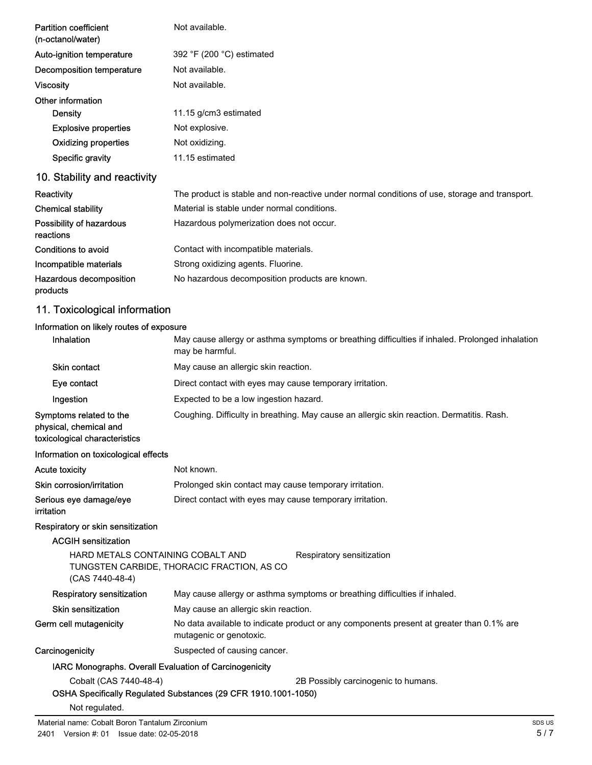| <b>Partition coefficient</b><br>(n-octanol/water)                                  | Not available.                                                                                                      |  |
|------------------------------------------------------------------------------------|---------------------------------------------------------------------------------------------------------------------|--|
| Auto-ignition temperature                                                          | 392 °F (200 °C) estimated                                                                                           |  |
| Decomposition temperature                                                          | Not available.                                                                                                      |  |
| <b>Viscosity</b>                                                                   | Not available.                                                                                                      |  |
| Other information                                                                  |                                                                                                                     |  |
| <b>Density</b>                                                                     | 11.15 g/cm3 estimated                                                                                               |  |
| <b>Explosive properties</b>                                                        | Not explosive.                                                                                                      |  |
| <b>Oxidizing properties</b>                                                        | Not oxidizing.                                                                                                      |  |
| Specific gravity                                                                   | 11.15 estimated                                                                                                     |  |
| 10. Stability and reactivity                                                       |                                                                                                                     |  |
| Reactivity                                                                         | The product is stable and non-reactive under normal conditions of use, storage and transport.                       |  |
| <b>Chemical stability</b>                                                          | Material is stable under normal conditions.                                                                         |  |
| Possibility of hazardous<br>reactions                                              | Hazardous polymerization does not occur.                                                                            |  |
| <b>Conditions to avoid</b>                                                         | Contact with incompatible materials.                                                                                |  |
| Incompatible materials                                                             | Strong oxidizing agents. Fluorine.                                                                                  |  |
| Hazardous decomposition<br>products                                                | No hazardous decomposition products are known.                                                                      |  |
| 11. Toxicological information                                                      |                                                                                                                     |  |
| Information on likely routes of exposure                                           |                                                                                                                     |  |
| Inhalation                                                                         | May cause allergy or asthma symptoms or breathing difficulties if inhaled. Prolonged inhalation<br>may be harmful.  |  |
| <b>Skin contact</b>                                                                | May cause an allergic skin reaction.                                                                                |  |
| Eye contact                                                                        | Direct contact with eyes may cause temporary irritation.                                                            |  |
| Ingestion                                                                          | Expected to be a low ingestion hazard.                                                                              |  |
| Symptoms related to the<br>physical, chemical and<br>toxicological characteristics | Coughing. Difficulty in breathing. May cause an allergic skin reaction. Dermatitis. Rash.                           |  |
| Information on toxicological effects                                               |                                                                                                                     |  |
| Acute toxicity                                                                     | Not known.                                                                                                          |  |
| Skin corrosion/irritation                                                          | Prolonged skin contact may cause temporary irritation.                                                              |  |
| Serious eye damage/eye<br>irritation                                               | Direct contact with eyes may cause temporary irritation.                                                            |  |
| Respiratory or skin sensitization                                                  |                                                                                                                     |  |
| <b>ACGIH sensitization</b>                                                         |                                                                                                                     |  |
| HARD METALS CONTAINING COBALT AND<br>(CAS 7440-48-4)                               | Respiratory sensitization<br>TUNGSTEN CARBIDE, THORACIC FRACTION, AS CO                                             |  |
| <b>Respiratory sensitization</b>                                                   | May cause allergy or asthma symptoms or breathing difficulties if inhaled.                                          |  |
| Skin sensitization                                                                 | May cause an allergic skin reaction.                                                                                |  |
| Germ cell mutagenicity                                                             | No data available to indicate product or any components present at greater than 0.1% are<br>mutagenic or genotoxic. |  |

Carcinogenicity **Suspected of causing cancer.** 

#### IARC Monographs. Overall Evaluation of Carcinogenicity

Cobalt (CAS 7440-48-4) 2B Possibly carcinogenic to humans.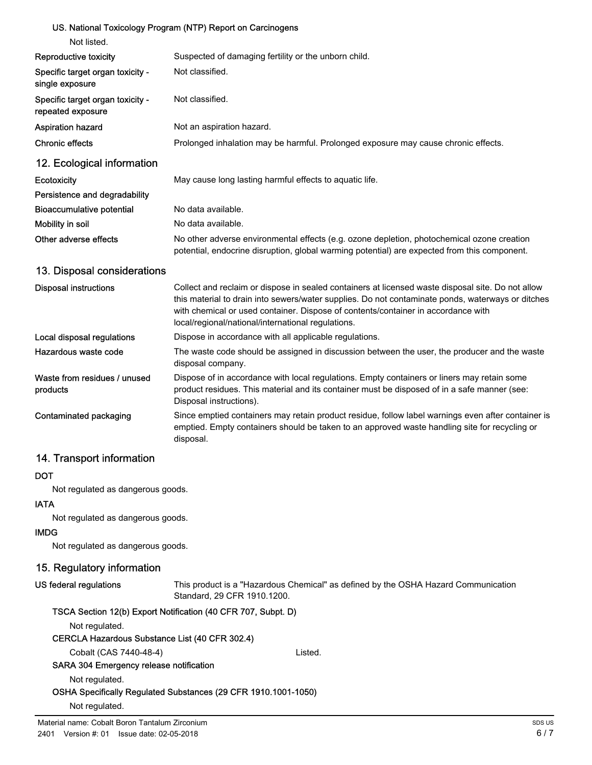#### US. National Toxicology Program (NTP) Report on Carcinogens

| Not listed.                                           |                                                                                                                                                                                                                                                                                                                                                   |
|-------------------------------------------------------|---------------------------------------------------------------------------------------------------------------------------------------------------------------------------------------------------------------------------------------------------------------------------------------------------------------------------------------------------|
| Reproductive toxicity                                 | Suspected of damaging fertility or the unborn child.                                                                                                                                                                                                                                                                                              |
| Specific target organ toxicity -<br>single exposure   | Not classified.                                                                                                                                                                                                                                                                                                                                   |
| Specific target organ toxicity -<br>repeated exposure | Not classified.                                                                                                                                                                                                                                                                                                                                   |
| <b>Aspiration hazard</b>                              | Not an aspiration hazard.                                                                                                                                                                                                                                                                                                                         |
| <b>Chronic effects</b>                                | Prolonged inhalation may be harmful. Prolonged exposure may cause chronic effects.                                                                                                                                                                                                                                                                |
| 12. Ecological information                            |                                                                                                                                                                                                                                                                                                                                                   |
| Ecotoxicity                                           | May cause long lasting harmful effects to aquatic life.                                                                                                                                                                                                                                                                                           |
| Persistence and degradability                         |                                                                                                                                                                                                                                                                                                                                                   |
| <b>Bioaccumulative potential</b>                      | No data available.                                                                                                                                                                                                                                                                                                                                |
| Mobility in soil                                      | No data available.                                                                                                                                                                                                                                                                                                                                |
| Other adverse effects                                 | No other adverse environmental effects (e.g. ozone depletion, photochemical ozone creation<br>potential, endocrine disruption, global warming potential) are expected from this component.                                                                                                                                                        |
| 13. Disposal considerations                           |                                                                                                                                                                                                                                                                                                                                                   |
| <b>Disposal instructions</b>                          | Collect and reclaim or dispose in sealed containers at licensed waste disposal site. Do not allow<br>this material to drain into sewers/water supplies. Do not contaminate ponds, waterways or ditches<br>with chemical or used container. Dispose of contents/container in accordance with<br>local/regional/national/international regulations. |
| Local disposal regulations                            | Dispose in accordance with all applicable regulations.                                                                                                                                                                                                                                                                                            |
| Hazardous waste code                                  | The waste code should be assigned in discussion between the user, the producer and the waste<br>disposal company.                                                                                                                                                                                                                                 |
| Waste from residues / unused<br>products              | Dispose of in accordance with local regulations. Empty containers or liners may retain some<br>product residues. This material and its container must be disposed of in a safe manner (see:<br>Disposal instructions).                                                                                                                            |
| Contaminated packaging                                | Since emptied containers may retain product residue, follow label warnings even after container is<br>emptied. Empty containers should be taken to an approved waste handling site for recycling or<br>disposal.                                                                                                                                  |
|                                                       |                                                                                                                                                                                                                                                                                                                                                   |

## 14. Transport information

#### **DOT**

Not regulated as dangerous goods.

#### IATA

Not regulated as dangerous goods.

#### IMDG

Not regulated as dangerous goods.

#### 15. Regulatory information

#### US federal regulations

This product is a "Hazardous Chemical" as defined by the OSHA Hazard Communication Standard, 29 CFR 1910.1200.

| TSCA Section 12(b) Export Notification (40 CFR 707, Subpt. D) |  |
|---------------------------------------------------------------|--|
|---------------------------------------------------------------|--|

Not regulated.

## CERCLA Hazardous Substance List (40 CFR 302.4)

Cobalt (CAS 7440-48-4) Listed.

#### SARA 304 Emergency release notification

Not regulated.

#### OSHA Specifically Regulated Substances (29 CFR 1910.1001-1050)

Not regulated.